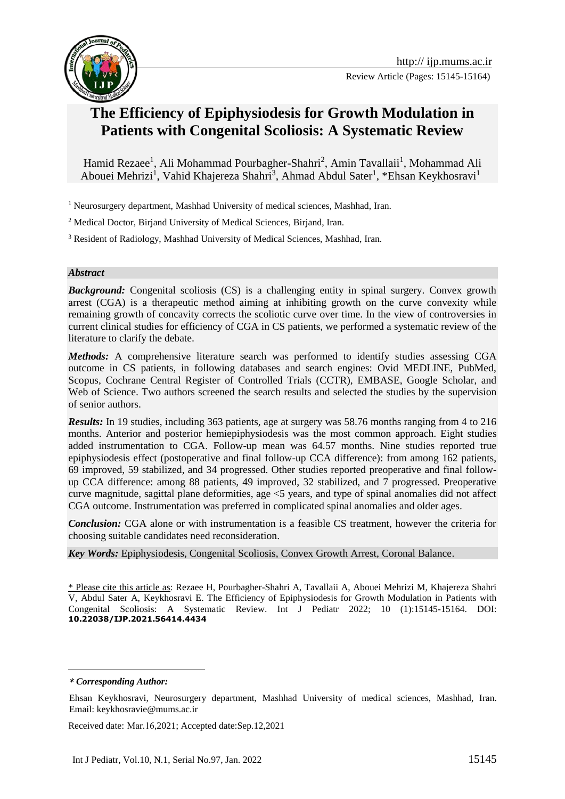

# **The Efficiency of Epiphysiodesis for Growth Modulation in Patients with Congenital Scoliosis: A Systematic Review**

Hamid Rezaee<sup>1</sup>, Ali Mohammad Pourbagher-Shahri<sup>2</sup>, Amin Tavallaii<sup>1</sup>, Mohammad Ali Abouei Mehrizi<sup>1</sup>, Vahid Khajereza Shahri<sup>3</sup>, Ahmad Abdul Sater<sup>1</sup>, \*Ehsan Keykhosravi<sup>1</sup>

<sup>1</sup> Neurosurgery department, Mashhad University of medical sciences, Mashhad, Iran.

<sup>2</sup> Medical Doctor, Birjand University of Medical Sciences, Birjand, Iran.

<sup>3</sup> Resident of Radiology, Mashhad University of Medical Sciences, Mashhad, Iran.

#### *Abstract*

**Background:** Congenital scoliosis (CS) is a challenging entity in spinal surgery. Convex growth arrest (CGA) is a therapeutic method aiming at inhibiting growth on the curve convexity while remaining growth of concavity corrects the scoliotic curve over time. In the view of controversies in current clinical studies for efficiency of CGA in CS patients, we performed a systematic review of the literature to clarify the debate.

*Methods:* A comprehensive literature search was performed to identify studies assessing CGA outcome in CS patients, in following databases and search engines: Ovid MEDLINE, PubMed, Scopus, Cochrane Central Register of Controlled Trials (CCTR), EMBASE, Google Scholar, and Web of Science. Two authors screened the search results and selected the studies by the supervision of senior authors.

*Results:* In 19 studies, including 363 patients, age at surgery was 58.76 months ranging from 4 to 216 months. Anterior and posterior hemiepiphysiodesis was the most common approach. Eight studies added instrumentation to CGA. Follow-up mean was 64.57 months. Nine studies reported true epiphysiodesis effect (postoperative and final follow-up CCA difference): from among 162 patients, 69 improved, 59 stabilized, and 34 progressed. Other studies reported preoperative and final followup CCA difference: among 88 patients, 49 improved, 32 stabilized, and 7 progressed. Preoperative curve magnitude, sagittal plane deformities, age <5 years, and type of spinal anomalies did not affect CGA outcome. Instrumentation was preferred in complicated spinal anomalies and older ages.

*Conclusion:* CGA alone or with instrumentation is a feasible CS treatment, however the criteria for choosing suitable candidates need reconsideration.

*Key Words:* Epiphysiodesis, Congenital Scoliosis, Convex Growth Arrest, Coronal Balance.

\* Please cite this article as: Rezaee H, Pourbagher-Shahri A, Tavallaii A, Abouei Mehrizi M, Khajereza Shahri V, Abdul Sater A, Keykhosravi E. The Efficiency of Epiphysiodesis for Growth Modulation in Patients with Congenital Scoliosis: A Systematic Review. Int J Pediatr 2022; 10 (1):15145-15164. DOI: **10.22038/IJP.2021.56414.4434**

Received date: Mar.16,2021; Accepted date:Sep.12,2021

**<sup>\*</sup>** *Corresponding Author:*

Ehsan Keykhosravi, Neurosurgery department, Mashhad University of medical sciences, Mashhad, Iran. Email: keykhosravie@mums.ac.ir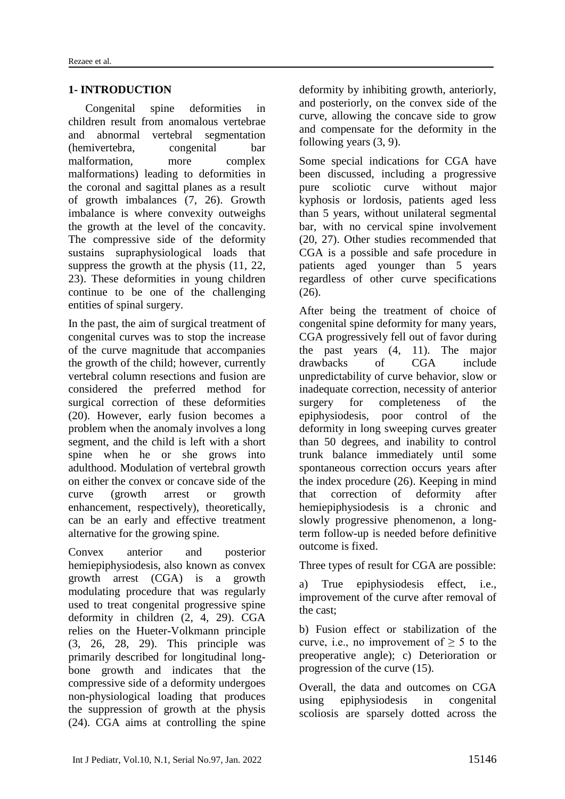### **1- INTRODUCTION**

Congenital spine deformities in children result from anomalous vertebrae and abnormal vertebral segmentation (hemivertebra, congenital bar malformation, more complex malformations) leading to deformities in the coronal and sagittal planes as a result of growth imbalances (7, 26). Growth imbalance is where convexity outweighs the growth at the level of the concavity. The compressive side of the deformity sustains supraphysiological loads that suppress the growth at the physis (11, 22, 23). These deformities in young children continue to be one of the challenging entities of spinal surgery.

In the past, the aim of surgical treatment of congenital curves was to stop the increase of the curve magnitude that accompanies the growth of the child; however, currently vertebral column resections and fusion are considered the preferred method for surgical correction of these deformities (20). However, early fusion becomes a problem when the anomaly involves a long segment, and the child is left with a short spine when he or she grows into adulthood. Modulation of vertebral growth on either the convex or concave side of the curve (growth arrest or growth enhancement, respectively), theoretically, can be an early and effective treatment alternative for the growing spine.

Convex anterior and posterior hemiepiphysiodesis, also known as convex growth arrest (CGA) is a growth modulating procedure that was regularly used to treat congenital progressive spine deformity in children (2, 4, 29). CGA relies on the Hueter-Volkmann principle (3, 26, 28, 29). This principle was primarily described for longitudinal longbone growth and indicates that the compressive side of a deformity undergoes non-physiological loading that produces the suppression of growth at the physis (24). CGA aims at controlling the spine deformity by inhibiting growth, anteriorly, and posteriorly, on the convex side of the curve, allowing the concave side to grow and compensate for the deformity in the following years (3, 9).

Some special indications for CGA have been discussed, including a progressive pure scoliotic curve without major kyphosis or lordosis, patients aged less than 5 years, without unilateral segmental bar, with no cervical spine involvement (20, 27). Other studies recommended that CGA is a possible and safe procedure in patients aged younger than 5 years regardless of other curve specifications (26).

After being the treatment of choice of congenital spine deformity for many years, CGA progressively fell out of favor during the past years (4, 11). The major drawbacks of CGA include unpredictability of curve behavior, slow or inadequate correction, necessity of anterior surgery for completeness of the epiphysiodesis, poor control of the deformity in long sweeping curves greater than 50 degrees, and inability to control trunk balance immediately until some spontaneous correction occurs years after the index procedure (26). Keeping in mind that correction of deformity after hemiepiphysiodesis is a chronic and slowly progressive phenomenon, a longterm follow-up is needed before definitive outcome is fixed.

Three types of result for CGA are possible:

a) True epiphysiodesis effect, i.e., improvement of the curve after removal of the cast;

b) Fusion effect or stabilization of the curve, i.e., no improvement of  $> 5$  to the preoperative angle); c) Deterioration or progression of the curve (15).

Overall, the data and outcomes on CGA using epiphysiodesis in congenital scoliosis are sparsely dotted across the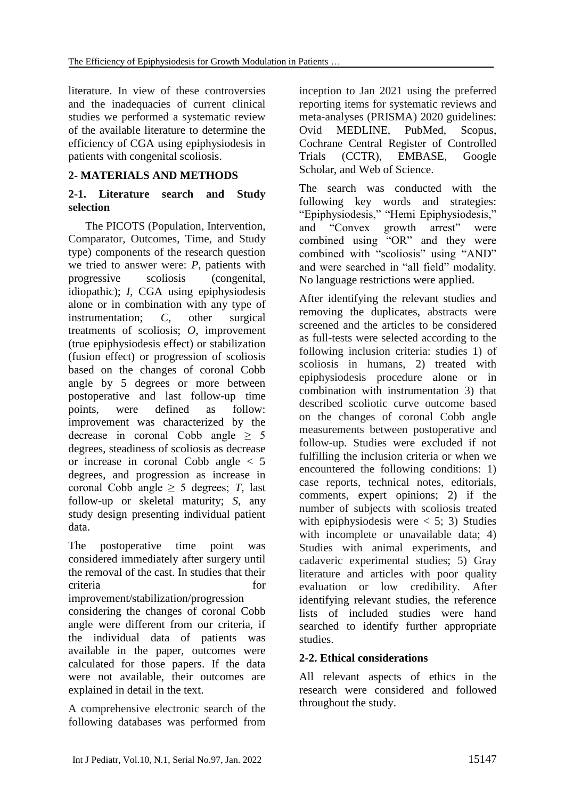literature. In view of these controversies and the inadequacies of current clinical studies we performed a systematic review of the available literature to determine the efficiency of CGA using epiphysiodesis in patients with congenital scoliosis.

# **2- MATERIALS AND METHODS**

### **2-1. Literature search and Study selection**

The PICOTS (Population, Intervention, Comparator, Outcomes, Time, and Study type) components of the research question we tried to answer were: *P*, patients with progressive scoliosis (congenital, idiopathic); *I*, CGA using epiphysiodesis alone or in combination with any type of instrumentation; *C*, other surgical treatments of scoliosis; *O*, improvement (true epiphysiodesis effect) or stabilization (fusion effect) or progression of scoliosis based on the changes of coronal Cobb angle by 5 degrees or more between postoperative and last follow-up time points, were defined as follow: improvement was characterized by the decrease in coronal Cobb angle  $\geq$  5 degrees, steadiness of scoliosis as decrease or increase in coronal Cobb angle < 5 degrees, and progression as increase in coronal Cobb angle  $\geq$  5 degrees; *T*, last follow-up or skeletal maturity; *S*, any study design presenting individual patient data.

The postoperative time point was considered immediately after surgery until the removal of the cast. In studies that their criteria for the criteria criteria and the criteria of the criteria of the criteria of the criteria of the criteria of the criteria of the criteria of the criteria of the criteria of the criteria of the criteria of the cri

improvement/stabilization/progression considering the changes of coronal Cobb angle were different from our criteria, if the individual data of patients was available in the paper, outcomes were calculated for those papers. If the data were not available, their outcomes are explained in detail in the text.

A comprehensive electronic search of the following databases was performed from inception to Jan 2021 using the preferred reporting items for systematic reviews and meta-analyses (PRISMA) 2020 guidelines: Ovid MEDLINE, PubMed, Scopus, Cochrane Central Register of Controlled Trials (CCTR), EMBASE, Google Scholar, and Web of Science.

The search was conducted with the following key words and strategies: "Epiphysiodesis," "Hemi Epiphysiodesis," and "Convex growth arrest" were combined using "OR" and they were combined with "scoliosis" using "AND" and were searched in "all field" modality. No language restrictions were applied.

After identifying the relevant studies and removing the duplicates, abstracts were screened and the articles to be considered as full-tests were selected according to the following inclusion criteria: studies 1) of scoliosis in humans, 2) treated with epiphysiodesis procedure alone or in combination with instrumentation 3) that described scoliotic curve outcome based on the changes of coronal Cobb angle measurements between postoperative and follow-up. Studies were excluded if not fulfilling the inclusion criteria or when we encountered the following conditions: 1) case reports, technical notes, editorials, comments, expert opinions; 2) if the number of subjects with scoliosis treated with epiphysiodesis were  $< 5$ ; 3) Studies with incomplete or unavailable data; 4) Studies with animal experiments, and cadaveric experimental studies; 5) Gray literature and articles with poor quality evaluation or low credibility. After identifying relevant studies, the reference lists of included studies were hand searched to identify further appropriate studies.

# **2-2. Ethical considerations**

All relevant aspects of ethics in the research were considered and followed throughout the study.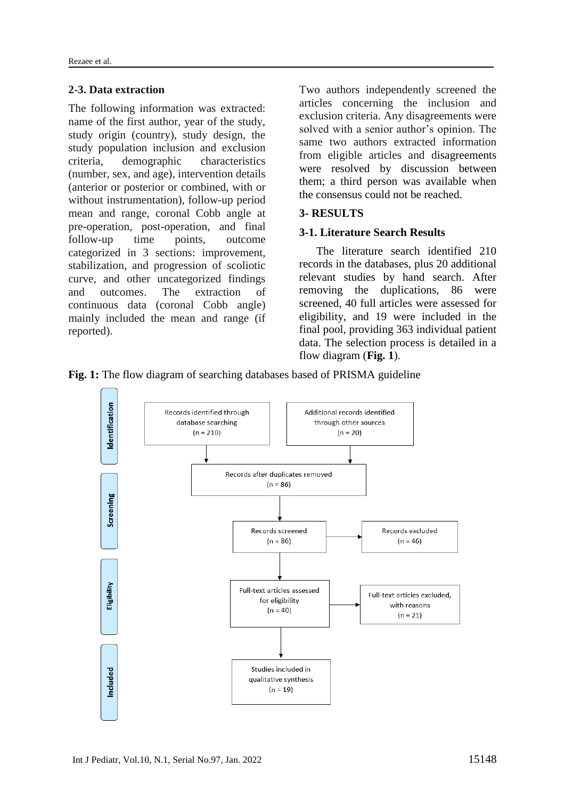#### **2-3. Data extraction**

The following information was extracted: name of the first author, year of the study, study origin (country), study design, the study population inclusion and exclusion criteria, demographic characteristics (number, sex, and age), intervention details (anterior or posterior or combined, with or without instrumentation), follow-up period mean and range, coronal Cobb angle at pre-operation, post-operation, and final follow-up time points, outcome categorized in 3 sections: improvement, stabilization, and progression of scoliotic curve, and other uncategorized findings and outcomes. The extraction of continuous data (coronal Cobb angle) mainly included the mean and range (if reported).

Two authors independently screened the articles concerning the inclusion and exclusion criteria. Any disagreements were solved with a senior author's opinion. The same two authors extracted information from eligible articles and disagreements were resolved by discussion between them; a third person was available when the consensus could not be reached.

# **3- RESULTS**

### **3-1. Literature Search Results**

The literature search identified 210 records in the databases, plus 20 additional relevant studies by hand search. After removing the duplications, 86 were screened, 40 full articles were assessed for eligibility, and 19 were included in the final pool, providing 363 individual patient data. The selection process is detailed in a flow diagram (**Fig. 1**).

**Fig. 1:** The flow diagram of searching databases based of PRISMA guideline

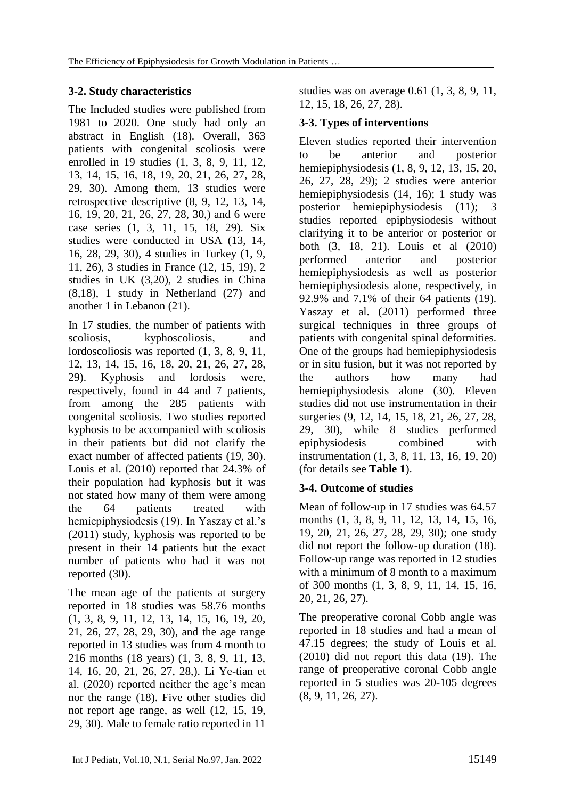# **3-2. Study characteristics**

The Included studies were published from 1981 to 2020. One study had only an abstract in English (18). Overall, 363 patients with congenital scoliosis were enrolled in 19 studies (1, 3, 8, 9, 11, 12, 13, 14, 15, 16, 18, 19, 20, 21, 26, 27, 28, 29, 30). Among them, 13 studies were retrospective descriptive (8, 9, 12, 13, 14, 16, 19, 20, 21, 26, 27, 28, 30,) and 6 were case series (1, 3, 11, 15, 18, 29). Six studies were conducted in USA (13, 14, 16, 28, 29, 30), 4 studies in Turkey (1, 9, 11, 26), 3 studies in France (12, 15, 19), 2 studies in UK (3,20), 2 studies in China (8,18), 1 study in Netherland (27) and another 1 in Lebanon (21).

In 17 studies, the number of patients with scoliosis, kyphoscoliosis, and lordoscoliosis was reported (1, 3, 8, 9, 11, 12, 13, 14, 15, 16, 18, 20, 21, 26, 27, 28, 29). Kyphosis and lordosis were, respectively, found in 44 and 7 patients, from among the 285 patients with congenital scoliosis. Two studies reported kyphosis to be accompanied with scoliosis in their patients but did not clarify the exact number of affected patients (19, 30). Louis et al. (2010) reported that 24.3% of their population had kyphosis but it was not stated how many of them were among the 64 patients treated with hemiepiphysiodesis (19). In Yaszay et al.'s (2011) study, kyphosis was reported to be present in their 14 patients but the exact number of patients who had it was not reported (30).

The mean age of the patients at surgery reported in 18 studies was 58.76 months (1, 3, 8, 9, 11, 12, 13, 14, 15, 16, 19, 20, 21, 26, 27, 28, 29, 30), and the age range reported in 13 studies was from 4 month to 216 months (18 years) (1, 3, 8, 9, 11, 13, 14, 16, 20, 21, 26, 27, 28,). Li Ye-tian et al. (2020) reported neither the age's mean nor the range (18). Five other studies did not report age range, as well (12, 15, 19, 29, 30). Male to female ratio reported in 11

studies was on average 0.61 (1, 3, 8, 9, 11, 12, 15, 18, 26, 27, 28).

# **3-3. Types of interventions**

Eleven studies reported their intervention to be anterior and posterior hemiepiphysiodesis (1, 8, 9, 12, 13, 15, 20, 26, 27, 28, 29); 2 studies were anterior hemiepiphysiodesis (14, 16); 1 study was posterior hemiepiphysiodesis (11); 3 studies reported epiphysiodesis without clarifying it to be anterior or posterior or both (3, 18, 21). Louis et al (2010) performed anterior and posterior hemiepiphysiodesis as well as posterior hemiepiphysiodesis alone, respectively, in 92.9% and 7.1% of their 64 patients (19). Yaszay et al. (2011) performed three surgical techniques in three groups of patients with congenital spinal deformities. One of the groups had hemiepiphysiodesis or in situ fusion, but it was not reported by the authors how many had hemiepiphysiodesis alone (30). Eleven studies did not use instrumentation in their surgeries (9, 12, 14, 15, 18, 21, 26, 27, 28, 29, 30), while 8 studies performed epiphysiodesis combined with instrumentation (1, 3, 8, 11, 13, 16, 19, 20) (for details see **Table 1**).

# **3-4. Outcome of studies**

Mean of follow-up in 17 studies was 64.57 months (1, 3, 8, 9, 11, 12, 13, 14, 15, 16, 19, 20, 21, 26, 27, 28, 29, 30); one study did not report the follow-up duration (18). Follow-up range was reported in 12 studies with a minimum of 8 month to a maximum of 300 months (1, 3, 8, 9, 11, 14, 15, 16, 20, 21, 26, 27).

The preoperative coronal Cobb angle was reported in 18 studies and had a mean of 47.15 degrees; the study of Louis et al. (2010) did not report this data (19). The range of preoperative coronal Cobb angle reported in 5 studies was 20-105 degrees (8, 9, 11, 26, 27).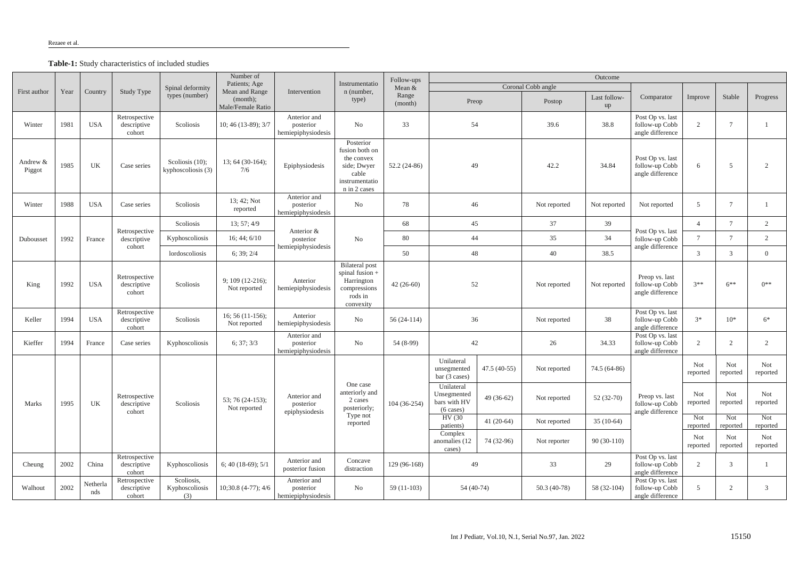**Table-1:** Study characteristics of included studies

|                    |      |                 | Study Type                             | Spinal deformity<br>types (number)       | Number of<br>Patients; Age<br>Mean and Range<br>(month);<br>Male/Female Ratio | Intervention                                    | Instrumentatio<br>n (number,<br>type)                                                               | Follow-ups       | Outcome                                                          |               |                    |                    |                                                        |                 |                 |                 |
|--------------------|------|-----------------|----------------------------------------|------------------------------------------|-------------------------------------------------------------------------------|-------------------------------------------------|-----------------------------------------------------------------------------------------------------|------------------|------------------------------------------------------------------|---------------|--------------------|--------------------|--------------------------------------------------------|-----------------|-----------------|-----------------|
| First author       | Year | Country         |                                        |                                          |                                                                               |                                                 |                                                                                                     | Mean $&$         |                                                                  |               | Coronal Cobb angle |                    |                                                        |                 |                 |                 |
|                    |      |                 |                                        |                                          |                                                                               |                                                 |                                                                                                     | Range<br>(month) | Preop                                                            |               | Postop             | Last follow-<br>up | Comparator                                             | Improve         | Stable          | Progress        |
| Winter             | 1981 | <b>USA</b>      | Retrospective<br>descriptive<br>cohort | Scoliosis                                | 10; 46 (13-89); 3/7                                                           | Anterior and<br>posterior<br>hemiepiphysiodesis | N <sub>o</sub>                                                                                      | 33               | 54                                                               |               | 39.6               | 38.8               | Post Op vs. last<br>follow-up Cobb<br>angle difference | 2               |                 |                 |
| Andrew &<br>Piggot | 1985 | UK              | Case series                            | Scoliosis $(10)$ ;<br>kyphoscoliosis (3) | $13; 64 (30-164);$<br>7/6                                                     | Epiphysiodesis                                  | Posterior<br>fusion both on<br>the convex<br>side; Dwyer<br>cable<br>instrumentatio<br>n in 2 cases | $52.2(24-86)$    | 49                                                               |               | 42.2               | 34.84              | Post Op vs. last<br>follow-up Cobb<br>angle difference | 6               | $\overline{5}$  | 2               |
| Winter             | 1988 | <b>USA</b>      | Case series                            | Scoliosis                                | 13; 42; Not<br>reported                                                       | Anterior and<br>posterior<br>hemiepiphysiodesis | N <sub>o</sub>                                                                                      | 78               | 46                                                               |               | Not reported       | Not reported       | Not reported                                           | 5               |                 |                 |
|                    | 1992 | France          | Retrospective<br>descriptive<br>cohort | Scoliosis                                | 13; 57; 4/9                                                                   | Anterior &<br>posterior<br>hemiepiphysiodesis   | N <sub>o</sub>                                                                                      | 68               | 45                                                               |               | 37                 | 39                 |                                                        | $\overline{4}$  | $\mathcal{I}$   | $\overline{2}$  |
| Dubousset          |      |                 |                                        | Kyphoscoliosis<br>lordoscoliosis         | 16; 44; 6/10                                                                  |                                                 |                                                                                                     | 80               | 44                                                               |               | 35                 | 34                 | Post Op vs. last<br>follow-up Cobb                     | $\overline{7}$  | $\mathcal{I}$   | 2               |
|                    |      |                 |                                        |                                          | 6; 39; 2/4                                                                    |                                                 |                                                                                                     | 50               | 48                                                               |               | 40                 | 38.5               | angle difference                                       | 3               | 3               | $\Omega$        |
| King               | 1992 | <b>USA</b>      | Retrospective<br>descriptive<br>cohort | Scoliosis                                | $9; 109 (12-216);$<br>Not reported                                            | Anterior<br>hemiepiphysiodesis                  | <b>Bilateral</b> post<br>spinal fusion +<br>Harrington<br>compressions<br>rods in<br>convexity      | $42(26-60)$      | 52                                                               |               | Not reported       | Not reported       | Preop vs. last<br>follow-up Cobb<br>angle difference   | $3**$           | $6***$          | $0**$           |
| Keller             | 1994 | <b>USA</b>      | Retrospective<br>descriptive<br>cohort | Scoliosis                                | $16; 56(11-156);$<br>Not reported                                             | Anterior<br>hemiepiphysiodesis                  | No                                                                                                  | $56(24-114)$     | 36                                                               |               | Not reported       | 38                 | Post Op vs. last<br>follow-up Cobb<br>angle difference | $3*$            | $10*$           | $6*$            |
| Kieffer            | 1994 | France          | Case series                            | Kyphoscoliosis                           | 6; 37; 3/3                                                                    | Anterior and<br>posterior<br>hemiepiphysiodesis | No                                                                                                  | 54 (8-99)        | 42                                                               |               | 26                 | 34.33              | Post Op vs. last<br>follow-up Cobb<br>angle difference | $\overline{2}$  | $\overline{2}$  | $\overline{2}$  |
|                    |      |                 |                                        |                                          |                                                                               |                                                 |                                                                                                     |                  | Unilateral<br>unsegmented<br>bar (3 cases)                       | $47.5(40-55)$ | Not reported       | 74.5 (64-86)       |                                                        | Not<br>reported | Not<br>reported | Not<br>reported |
| Marks              | 1995 | UK              | Retrospective<br>descriptive<br>cohort | Scoliosis                                | 53; 76 (24-153);<br>Not reported                                              | Anterior and<br>posterior<br>epiphysiodesis     | One case<br>anteriorly and<br>2 cases<br>posteriorly;<br>Type not<br>reported                       | 104 (36-254)     | Unilateral<br>Unsegmented<br>bars with HV<br>$(6 \text{ cases})$ | $49(36-62)$   | Not reported       | $52(32-70)$        | Preop vs. last<br>follow-up Cobb<br>angle difference   | Not<br>reported | Not<br>reported | Not<br>reported |
|                    |      |                 |                                        |                                          |                                                                               |                                                 |                                                                                                     |                  | HV (30<br>patients)                                              | 41 $(20-64)$  | Not reported       | $35(10-64)$        |                                                        | Not<br>reported | Not<br>reported | Not<br>reported |
|                    |      |                 |                                        |                                          |                                                                               |                                                 |                                                                                                     |                  | Complex<br>anomalies (12<br>cases)                               | 74 (32-96)    | Not reporter       | $90(30-110)$       |                                                        | Not<br>reported | Not<br>reported | Not<br>reported |
| Cheung             | 2002 | China           | Retrospective<br>descriptive<br>cohort | Kyphoscoliosis                           | 6; 40 (18-69); $5/1$                                                          | Anterior and<br>posterior fusion                | Concave<br>distraction                                                                              | 129 (96-168)     | 49                                                               |               | 33                 | 29                 | Post Op vs. last<br>follow-up Cobb<br>angle difference | 2               | 3               |                 |
| Walhout            | 2002 | Netherla<br>nds | Retrospective<br>descriptive<br>cohort | Scoliosis,<br>Kyphoscoliosis<br>(3)      | $10;30.8$ (4-77); $4/6$                                                       | Anterior and<br>posterior<br>hemiepiphysiodesis | <b>No</b>                                                                                           | $59(11-103)$     | $54(40-74)$                                                      |               | $50.3(40-78)$      | 58 (32-104)        | Post Op vs. last<br>follow-up Cobb<br>angle difference | 5               |                 | 3               |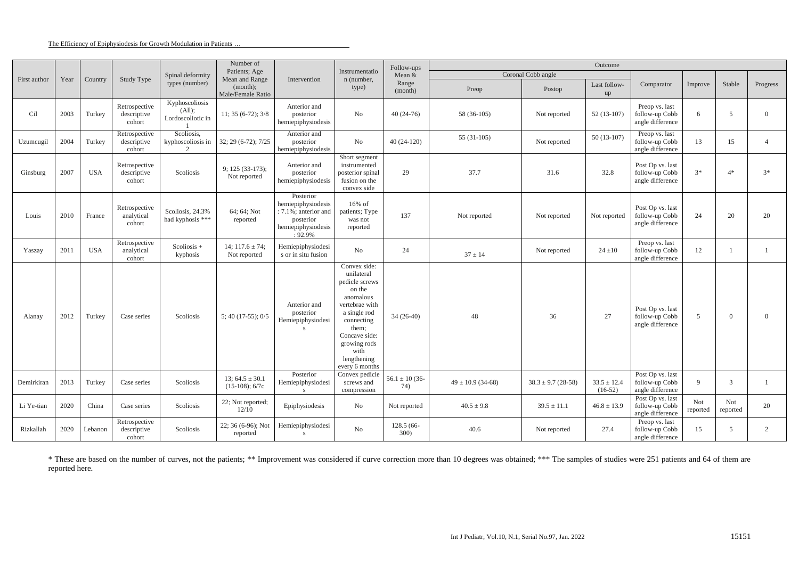#### The Efficiency of Epiphysiodesis for Growth Modulation in Patients …

|              | Year | Country    | Study Type                             | Spinal deformity<br>types (number)               | Number of<br>Patients; Age<br>Mean and Range<br>(month);<br>Male/Female Ratio | Intervention                                                                                             | Instrumentatio<br>n (number,<br>type)                                                                                                                                                                  | Follow-ups<br>Mean &<br>Range<br>(month) | Outcome               |                        |                              |                                                        |                 |                 |                |
|--------------|------|------------|----------------------------------------|--------------------------------------------------|-------------------------------------------------------------------------------|----------------------------------------------------------------------------------------------------------|--------------------------------------------------------------------------------------------------------------------------------------------------------------------------------------------------------|------------------------------------------|-----------------------|------------------------|------------------------------|--------------------------------------------------------|-----------------|-----------------|----------------|
| First author |      |            |                                        |                                                  |                                                                               |                                                                                                          |                                                                                                                                                                                                        |                                          | Coronal Cobb angle    |                        |                              |                                                        |                 |                 |                |
|              |      |            |                                        |                                                  |                                                                               |                                                                                                          |                                                                                                                                                                                                        |                                          | Preop                 | Postop                 | Last follow-<br>up           | Comparator                                             | Improve         | Stable          | Progress       |
| Cil          | 2003 | Turkey     | Retrospective<br>descriptive<br>cohort | Kyphoscoliosis<br>(All);<br>Lordoscoliotic in    | $11; 35(6-72); 3/8$                                                           | Anterior and<br>posterior<br>hemiepiphysiodesis                                                          | N <sub>o</sub>                                                                                                                                                                                         | $40(24-76)$                              | 58 (36-105)           | Not reported           | $52(13-107)$                 | Preop vs. last<br>follow-up Cobb<br>angle difference   | 6               | .5              | $\Omega$       |
| Uzumcugil    | 2004 | Turkey     | Retrospective<br>descriptive<br>cohort | Scoliosis,<br>kyphoscoliosis in<br>$\mathcal{D}$ | $32; 29(6-72); 7/25$                                                          | Anterior and<br>posterior<br>hemiepiphysiodesis                                                          | No                                                                                                                                                                                                     | $40(24-120)$                             | $55(31-105)$          | Not reported           | $50(13-107)$                 | Preop vs. last<br>follow-up Cobb<br>angle difference   | 13              | 15              |                |
| Ginsburg     | 2007 | <b>USA</b> | Retrospective<br>descriptive<br>cohort | Scoliosis                                        | 9; 125 (33-173);<br>Not reported                                              | Anterior and<br>posterior<br>hemiepiphysiodesis                                                          | Short segment<br>instrumented<br>posterior spinal<br>fusion on the<br>convex side                                                                                                                      | 29                                       | 37.7                  | 31.6                   | 32.8                         | Post Op vs. last<br>follow-up Cobb<br>angle difference | $3*$            | $4*$            | $3*$           |
| Louis        | 2010 | France     | Retrospective<br>analytical<br>cohort  | Scoliosis, 24.3%<br>had kyphosis ***             | 64; 64; Not<br>reported                                                       | Posterior<br>hemiepiphysiodesis<br>: 7.1%; anterior and<br>posterior<br>hemiepiphysiodesis<br>$: 92.9\%$ | $16\%$ of<br>patients; Type<br>was not<br>reported                                                                                                                                                     | 137                                      | Not reported          | Not reported           | Not reported                 | Post Op vs. last<br>follow-up Cobb<br>angle difference | 24              | 20              | 20             |
| Yaszay       | 2011 | <b>USA</b> | Retrospective<br>analytical<br>cohort  | Scoliosis +<br>kyphosis                          | 14; $117.6 \pm 74$ ;<br>Not reported                                          | Hemiepiphysiodesi<br>s or in situ fusion                                                                 | $\rm No$                                                                                                                                                                                               | 24                                       | $37 \pm 14$           | Not reported           | $24 \pm 10$                  | Preop vs. last<br>follow-up Cobb<br>angle difference   | 12              |                 |                |
| Alanay       | 2012 | Turkey     | Case series                            | Scoliosis                                        | $5; 40 (17-55); 0/5$                                                          | Anterior and<br>posterior<br>Hemiepiphysiodesi<br>S                                                      | Convex side:<br>unilateral<br>pedicle screws<br>on the<br>anomalous<br>vertebrae with<br>a single rod<br>connecting<br>them;<br>Concave side:<br>growing rods<br>with<br>lengthening<br>every 6 months | $34(26-40)$                              | 48                    | 36                     | 27                           | Post Op vs. last<br>follow-up Cobb<br>angle difference | 5 <sup>5</sup>  | $\Omega$        | $\Omega$       |
| Demirkiran   | 2013 | Turkey     | Case series                            | Scoliosis                                        | 13; $64.5 \pm 30.1$<br>$(15-108)$ ; 6/7c                                      | Posterior<br>Hemiepiphysiodesi                                                                           | Convex pedicle<br>screws and<br>compression                                                                                                                                                            | $56.1 \pm 10(36$<br>74)                  | $49 \pm 10.9$ (34-68) | $38.3 \pm 9.7$ (28-58) | $33.5 \pm 12.4$<br>$(16-52)$ | Post Op vs. last<br>follow-up Cobb<br>angle difference | 9               | 3               |                |
| Li Ye-tian   | 2020 | China      | Case series                            | Scoliosis                                        | 22; Not reported;<br>12/10                                                    | Epiphysiodesis                                                                                           | No                                                                                                                                                                                                     | Not reported                             | $40.5 \pm 9.8$        | $39.5 \pm 11.1$        | $46.8 \pm 13.9$              | Post Op vs. last<br>follow-up Cobb<br>angle difference | Not<br>reported | Not<br>reported | 20             |
| Rizkallah    | 2020 | Lebanon    | Retrospective<br>descriptive<br>cohort | Scoliosis                                        | 22; 36 (6-96); Not<br>reported                                                | Hemiepiphysiodesi<br>S                                                                                   | $\rm No$                                                                                                                                                                                               | 128.5 (66-<br>300)                       | 40.6                  | Not reported           | 27.4                         | Preop vs. last<br>follow-up Cobb<br>angle difference   | 15              | -5              | $\overline{2}$ |

\* These are based on the number of curves, not the patients; \*\* Improvement was considered if curve correction more than 10 degrees was obtained; \*\*\* The samples of studies were 251 patients and 64 of them are reported here.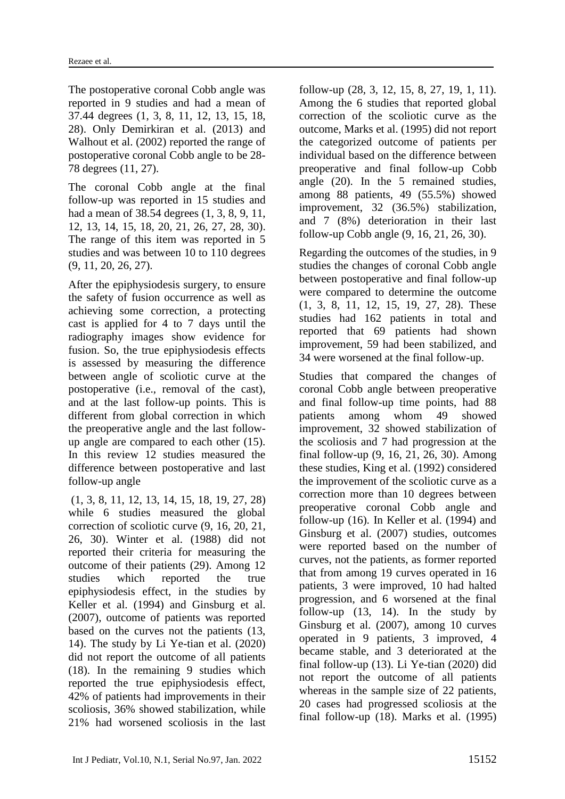The postoperative coronal Cobb angle was reported in 9 studies and had a mean of 37.44 degrees (1, 3, 8, 11, 12, 13, 15, 18, 28). Only Demirkiran et al. (2013) and Walhout et al. (2002) reported the range of postoperative coronal Cobb angle to be 28- 78 degrees (11, 27).

The coronal Cobb angle at the final follow-up was reported in 15 studies and had a mean of 38.54 degrees (1, 3, 8, 9, 11, 12, 13, 14, 15, 18, 20, 21, 26, 27, 28, 30). The range of this item was reported in 5 studies and was between 10 to 110 degrees (9, 11, 20, 26, 27).

After the epiphysiodesis surgery, to ensure the safety of fusion occurrence as well as achieving some correction, a protecting cast is applied for 4 to 7 days until the radiography images show evidence for fusion. So, the true epiphysiodesis effects is assessed by measuring the difference between angle of scoliotic curve at the postoperative (i.e., removal of the cast), and at the last follow-up points. This is different from global correction in which the preoperative angle and the last followup angle are compared to each other (15). In this review 12 studies measured the difference between postoperative and last follow-up angle

(1, 3, 8, 11, 12, 13, 14, 15, 18, 19, 27, 28) while 6 studies measured the global correction of scoliotic curve (9, 16, 20, 21, 26, 30). Winter et al. (1988) did not reported their criteria for measuring the outcome of their patients (29). Among 12 studies which reported the true epiphysiodesis effect, in the studies by Keller et al. (1994) and Ginsburg et al. (2007), outcome of patients was reported based on the curves not the patients (13, 14). The study by Li Ye-tian et al. (2020) did not report the outcome of all patients (18). In the remaining 9 studies which reported the true epiphysiodesis effect, 42% of patients had improvements in their scoliosis, 36% showed stabilization, while 21% had worsened scoliosis in the last follow-up (28, 3, 12, 15, 8, 27, 19, 1, 11). Among the 6 studies that reported global correction of the scoliotic curve as the outcome, Marks et al. (1995) did not report the categorized outcome of patients per individual based on the difference between preoperative and final follow-up Cobb angle (20). In the 5 remained studies, among 88 patients, 49 (55.5%) showed improvement, 32 (36.5%) stabilization, and 7 (8%) deterioration in their last follow-up Cobb angle (9, 16, 21, 26, 30).

Regarding the outcomes of the studies, in 9 studies the changes of coronal Cobb angle between postoperative and final follow-up were compared to determine the outcome (1, 3, 8, 11, 12, 15, 19, 27, 28). These studies had 162 patients in total and reported that 69 patients had shown improvement, 59 had been stabilized, and 34 were worsened at the final follow-up.

Studies that compared the changes of coronal Cobb angle between preoperative and final follow-up time points, had 88 patients among whom 49 showed improvement, 32 showed stabilization of the scoliosis and 7 had progression at the final follow-up (9, 16, 21, 26, 30). Among these studies, King et al. (1992) considered the improvement of the scoliotic curve as a correction more than 10 degrees between preoperative coronal Cobb angle and follow-up (16). In Keller et al. (1994) and Ginsburg et al. (2007) studies, outcomes were reported based on the number of curves, not the patients, as former reported that from among 19 curves operated in 16 patients, 3 were improved, 10 had halted progression, and 6 worsened at the final follow-up  $(13, 14)$ . In the study by Ginsburg et al. (2007), among 10 curves operated in 9 patients, 3 improved, 4 became stable, and 3 deteriorated at the final follow-up (13). Li Ye-tian (2020) did not report the outcome of all patients whereas in the sample size of 22 patients, 20 cases had progressed scoliosis at the final follow-up (18). Marks et al. (1995)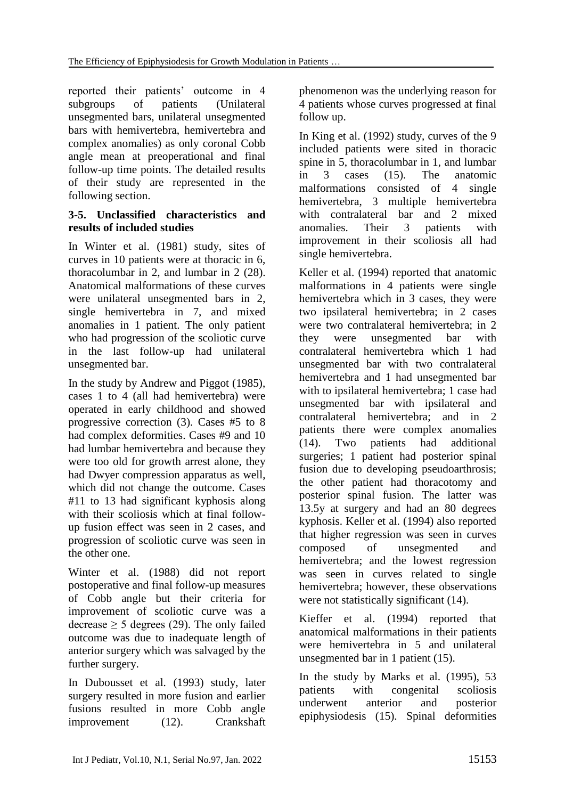reported their patients' outcome in 4 subgroups of patients (Unilateral unsegmented bars, unilateral unsegmented bars with hemivertebra, hemivertebra and complex anomalies) as only coronal Cobb angle mean at preoperational and final follow-up time points. The detailed results of their study are represented in the following section.

#### **3-5. Unclassified characteristics and results of included studies**

In Winter et al. (1981) study, sites of curves in 10 patients were at thoracic in 6, thoracolumbar in 2, and lumbar in 2 (28). Anatomical malformations of these curves were unilateral unsegmented bars in 2, single hemivertebra in 7, and mixed anomalies in 1 patient. The only patient who had progression of the scoliotic curve in the last follow-up had unilateral unsegmented bar.

In the study by Andrew and Piggot (1985), cases 1 to 4 (all had hemivertebra) were operated in early childhood and showed progressive correction (3). Cases #5 to 8 had complex deformities. Cases #9 and 10 had lumbar hemivertebra and because they were too old for growth arrest alone, they had Dwyer compression apparatus as well, which did not change the outcome. Cases #11 to 13 had significant kyphosis along with their scoliosis which at final followup fusion effect was seen in 2 cases, and progression of scoliotic curve was seen in the other one.

Winter et al. (1988) did not report postoperative and final follow-up measures of Cobb angle but their criteria for improvement of scoliotic curve was a decrease  $\geq$  5 degrees (29). The only failed outcome was due to inadequate length of anterior surgery which was salvaged by the further surgery.

In Dubousset et al. (1993) study, later surgery resulted in more fusion and earlier fusions resulted in more Cobb angle improvement (12). Crankshaft phenomenon was the underlying reason for 4 patients whose curves progressed at final follow up.

In King et al. (1992) study, curves of the 9 included patients were sited in thoracic spine in 5, thoracolumbar in 1, and lumbar in 3 cases (15). The anatomic malformations consisted of 4 single hemivertebra, 3 multiple hemivertebra with contralateral bar and 2 mixed anomalies. Their 3 patients with improvement in their scoliosis all had single hemivertebra.

Keller et al. (1994) reported that anatomic malformations in 4 patients were single hemivertebra which in 3 cases, they were two ipsilateral hemivertebra; in 2 cases were two contralateral hemivertebra; in 2 they were unsegmented bar with contralateral hemivertebra which 1 had unsegmented bar with two contralateral hemivertebra and 1 had unsegmented bar with to ipsilateral hemivertebra; 1 case had unsegmented bar with ipsilateral and contralateral hemivertebra; and in 2 patients there were complex anomalies (14). Two patients had additional surgeries; 1 patient had posterior spinal fusion due to developing pseudoarthrosis; the other patient had thoracotomy and posterior spinal fusion. The latter was 13.5y at surgery and had an 80 degrees kyphosis. Keller et al. (1994) also reported that higher regression was seen in curves composed of unsegmented and hemivertebra; and the lowest regression was seen in curves related to single hemivertebra; however, these observations were not statistically significant (14).

Kieffer et al. (1994) reported that anatomical malformations in their patients were hemivertebra in 5 and unilateral unsegmented bar in 1 patient (15).

In the study by Marks et al. (1995), 53 patients with congenital scoliosis underwent anterior and posterior epiphysiodesis (15). Spinal deformities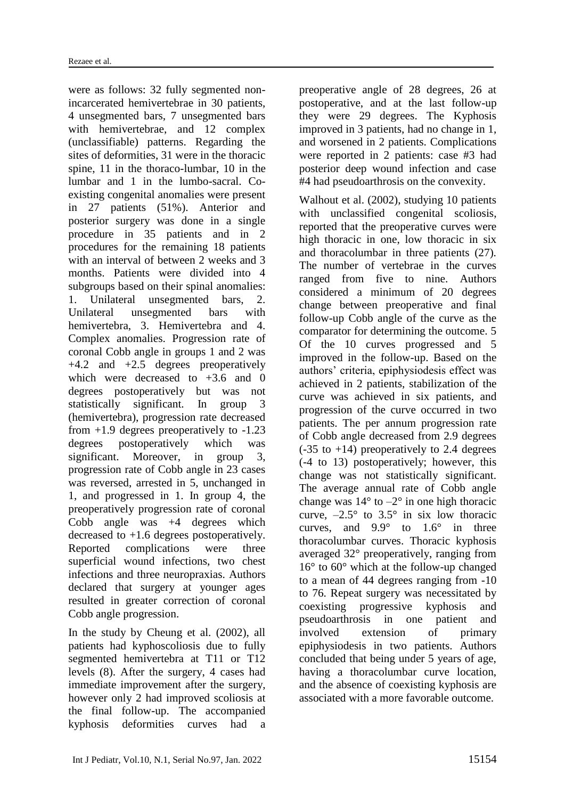were as follows: 32 fully segmented nonincarcerated hemivertebrae in 30 patients, 4 unsegmented bars, 7 unsegmented bars with hemivertebrae, and 12 complex (unclassifiable) patterns. Regarding the sites of deformities, 31 were in the thoracic spine, 11 in the thoraco-lumbar, 10 in the lumbar and 1 in the lumbo-sacral. Coexisting congenital anomalies were present in 27 patients (51%). Anterior and posterior surgery was done in a single procedure in 35 patients and in 2 procedures for the remaining 18 patients with an interval of between 2 weeks and 3 months. Patients were divided into 4 subgroups based on their spinal anomalies: 1. Unilateral unsegmented bars, 2. Unilateral unsegmented bars with hemivertebra, 3. Hemivertebra and 4. Complex anomalies. Progression rate of coronal Cobb angle in groups 1 and 2 was  $+4.2$  and  $+2.5$  degrees preoperatively which were decreased to  $+3.6$  and 0 degrees postoperatively but was not statistically significant. In group 3 (hemivertebra), progression rate decreased from +1.9 degrees preoperatively to -1.23 degrees postoperatively which was significant. Moreover, in group 3, progression rate of Cobb angle in 23 cases was reversed, arrested in 5, unchanged in 1, and progressed in 1. In group 4, the preoperatively progression rate of coronal Cobb angle was +4 degrees which decreased to +1.6 degrees postoperatively. Reported complications were three superficial wound infections, two chest infections and three neuropraxias. Authors declared that surgery at younger ages resulted in greater correction of coronal Cobb angle progression.

In the study by Cheung et al. (2002), all patients had kyphoscoliosis due to fully segmented hemivertebra at T11 or T12 levels (8). After the surgery, 4 cases had immediate improvement after the surgery, however only 2 had improved scoliosis at the final follow-up. The accompanied kyphosis deformities curves had a preoperative angle of 28 degrees, 26 at postoperative, and at the last follow-up they were 29 degrees. The Kyphosis improved in 3 patients, had no change in 1, and worsened in 2 patients. Complications were reported in 2 patients: case #3 had posterior deep wound infection and case #4 had pseudoarthrosis on the convexity.

Walhout et al. (2002), studying 10 patients with unclassified congenital scoliosis, reported that the preoperative curves were high thoracic in one, low thoracic in six and thoracolumbar in three patients (27). The number of vertebrae in the curves ranged from five to nine. Authors considered a minimum of 20 degrees change between preoperative and final follow-up Cobb angle of the curve as the comparator for determining the outcome. 5 Of the 10 curves progressed and 5 improved in the follow-up. Based on the authors' criteria, epiphysiodesis effect was achieved in 2 patients, stabilization of the curve was achieved in six patients, and progression of the curve occurred in two patients. The per annum progression rate of Cobb angle decreased from 2.9 degrees  $(-35 \text{ to } +14)$  preoperatively to 2.4 degrees (-4 to 13) postoperatively; however, this change was not statistically significant. The average annual rate of Cobb angle change was  $14^{\circ}$  to  $-2^{\circ}$  in one high thoracic curve,  $-2.5^{\circ}$  to  $3.5^{\circ}$  in six low thoracic curves, and  $9.9^{\circ}$  to  $1.6^{\circ}$  in three thoracolumbar curves. Thoracic kyphosis averaged 32° preoperatively, ranging from 16° to 60° which at the follow-up changed to a mean of 44 degrees ranging from -10 to 76. Repeat surgery was necessitated by coexisting progressive kyphosis and pseudoarthrosis in one patient and involved extension of primary epiphysiodesis in two patients. Authors concluded that being under 5 years of age, having a thoracolumbar curve location, and the absence of coexisting kyphosis are associated with a more favorable outcome.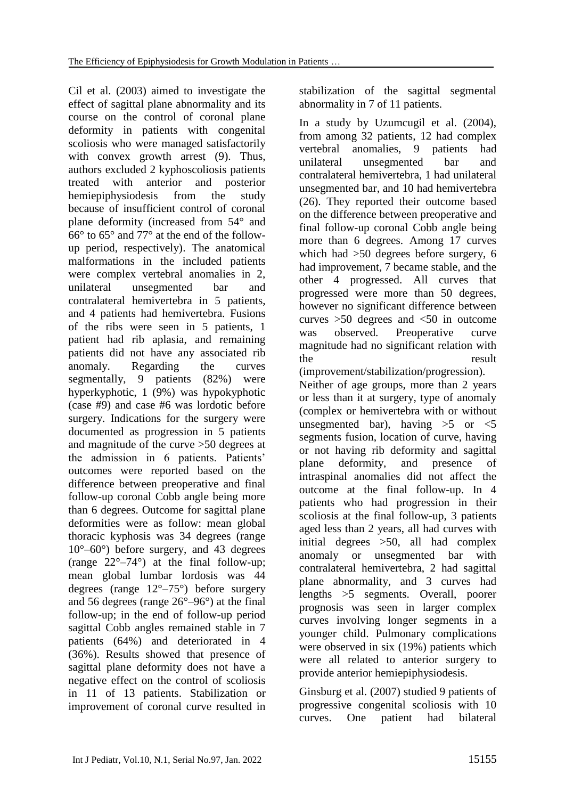Cil et al. (2003) aimed to investigate the effect of sagittal plane abnormality and its course on the control of coronal plane deformity in patients with congenital scoliosis who were managed satisfactorily with convex growth arrest (9). Thus, authors excluded 2 kyphoscoliosis patients treated with anterior and posterior hemiepiphysiodesis from the study because of insufficient control of coronal plane deformity (increased from 54° and 66° to 65° and 77° at the end of the followup period, respectively). The anatomical malformations in the included patients were complex vertebral anomalies in 2, unilateral unsegmented bar and contralateral hemivertebra in 5 patients, and 4 patients had hemivertebra. Fusions of the ribs were seen in 5 patients, 1 patient had rib aplasia, and remaining patients did not have any associated rib anomaly. Regarding the curves segmentally, 9 patients (82%) were hyperkyphotic, 1 (9%) was hypokyphotic (case #9) and case #6 was lordotic before surgery. Indications for the surgery were documented as progression in 5 patients and magnitude of the curve >50 degrees at the admission in 6 patients. Patients' outcomes were reported based on the difference between preoperative and final follow-up coronal Cobb angle being more than 6 degrees. Outcome for sagittal plane deformities were as follow: mean global thoracic kyphosis was 34 degrees (range 10°–60°) before surgery, and 43 degrees (range  $22^{\circ} - 74^{\circ}$ ) at the final follow-up; mean global lumbar lordosis was 44 degrees (range 12°–75°) before surgery and 56 degrees (range 26°–96°) at the final follow-up; in the end of follow-up period sagittal Cobb angles remained stable in 7 patients (64%) and deteriorated in 4 (36%). Results showed that presence of sagittal plane deformity does not have a negative effect on the control of scoliosis in 11 of 13 patients. Stabilization or improvement of coronal curve resulted in stabilization of the sagittal segmental abnormality in 7 of 11 patients.

In a study by Uzumcugil et al. (2004), from among 32 patients, 12 had complex vertebral anomalies, 9 patients had unilateral unsegmented bar and contralateral hemivertebra, 1 had unilateral unsegmented bar, and 10 had hemivertebra (26). They reported their outcome based on the difference between preoperative and final follow-up coronal Cobb angle being more than 6 degrees. Among 17 curves which had >50 degrees before surgery, 6 had improvement, 7 became stable, and the other 4 progressed. All curves that progressed were more than 50 degrees, however no significant difference between curves  $>50$  degrees and  $<50$  in outcome was observed. Preoperative curve magnitude had no significant relation with the result

(improvement/stabilization/progression). Neither of age groups, more than 2 years or less than it at surgery, type of anomaly (complex or hemivertebra with or without unsegmented bar), having  $>5$  or  $<5$ segments fusion, location of curve, having or not having rib deformity and sagittal plane deformity, and presence of intraspinal anomalies did not affect the outcome at the final follow-up. In 4 patients who had progression in their scoliosis at the final follow-up, 3 patients aged less than 2 years, all had curves with initial degrees >50, all had complex anomaly or unsegmented bar with contralateral hemivertebra, 2 had sagittal plane abnormality, and 3 curves had lengths >5 segments. Overall, poorer prognosis was seen in larger complex curves involving longer segments in a younger child. Pulmonary complications were observed in six (19%) patients which were all related to anterior surgery to provide anterior hemiepiphysiodesis.

Ginsburg et al. (2007) studied 9 patients of progressive congenital scoliosis with 10 curves. One patient had bilateral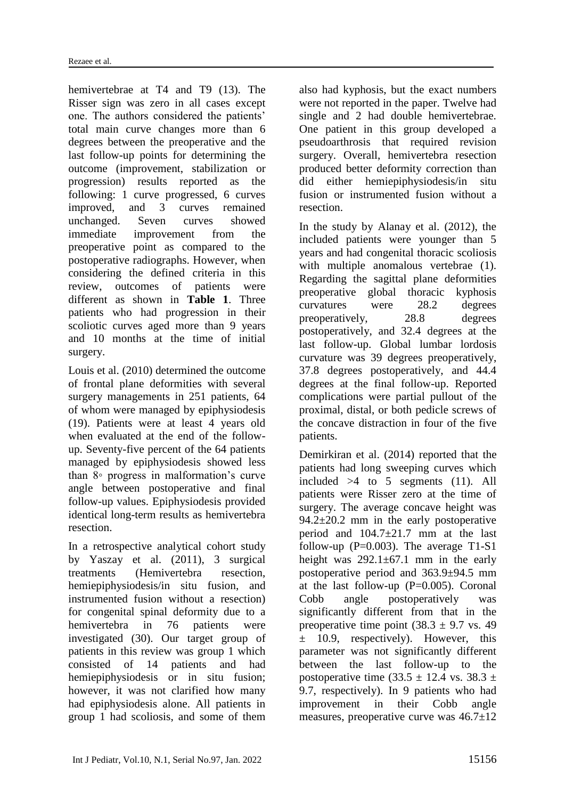hemivertebrae at T<sub>4</sub> and T<sub>9</sub> (13). The Risser sign was zero in all cases except one. The authors considered the patients' total main curve changes more than 6 degrees between the preoperative and the last follow-up points for determining the outcome (improvement, stabilization or progression) results reported as the following: 1 curve progressed, 6 curves improved, and 3 curves remained unchanged. Seven curves showed immediate improvement from the preoperative point as compared to the postoperative radiographs. However, when considering the defined criteria in this review, outcomes of patients were different as shown in **Table 1**. Three patients who had progression in their scoliotic curves aged more than 9 years and 10 months at the time of initial surgery.

Louis et al. (2010) determined the outcome of frontal plane deformities with several surgery managements in 251 patients, 64 of whom were managed by epiphysiodesis (19). Patients were at least 4 years old when evaluated at the end of the followup. Seventy-five percent of the 64 patients managed by epiphysiodesis showed less than 8◦ progress in malformation's curve angle between postoperative and final follow-up values. Epiphysiodesis provided identical long-term results as hemivertebra resection.

In a retrospective analytical cohort study by Yaszay et al. (2011), 3 surgical treatments (Hemivertebra resection, hemiepiphysiodesis/in situ fusion, and instrumented fusion without a resection) for congenital spinal deformity due to a hemivertebra in 76 patients were investigated (30). Our target group of patients in this review was group 1 which consisted of 14 patients and had hemiepiphysiodesis or in situ fusion; however, it was not clarified how many had epiphysiodesis alone. All patients in group 1 had scoliosis, and some of them

also had kyphosis, but the exact numbers were not reported in the paper. Twelve had single and 2 had double hemivertebrae. One patient in this group developed a pseudoarthrosis that required revision surgery. Overall, hemivertebra resection produced better deformity correction than did either hemiepiphysiodesis/in situ fusion or instrumented fusion without a resection.

In the study by Alanay et al. (2012), the included patients were younger than 5 years and had congenital thoracic scoliosis with multiple anomalous vertebrae (1). Regarding the sagittal plane deformities preoperative global thoracic kyphosis curvatures were 28.2 degrees preoperatively, 28.8 degrees postoperatively, and 32.4 degrees at the last follow-up. Global lumbar lordosis curvature was 39 degrees preoperatively, 37.8 degrees postoperatively, and 44.4 degrees at the final follow-up. Reported complications were partial pullout of the proximal, distal, or both pedicle screws of the concave distraction in four of the five patients.

Demirkiran et al. (2014) reported that the patients had long sweeping curves which included  $>4$  to 5 segments (11). All patients were Risser zero at the time of surgery. The average concave height was  $94.2 \pm 20.2$  mm in the early postoperative period and 104.7±21.7 mm at the last follow-up  $(P=0.003)$ . The average T1-S1 height was  $292.1 \pm 67.1$  mm in the early postoperative period and 363.9±94.5 mm at the last follow-up  $(P=0.005)$ . Coronal Cobb angle postoperatively was significantly different from that in the preoperative time point  $(38.3 \pm 9.7 \text{ vs. } 49)$  $\pm$  10.9, respectively). However, this parameter was not significantly different between the last follow-up to the postoperative time  $(33.5 \pm 12.4 \text{ vs. } 38.3 \pm \text{)}$ 9.7, respectively). In 9 patients who had improvement in their Cobb angle measures, preoperative curve was 46.7±12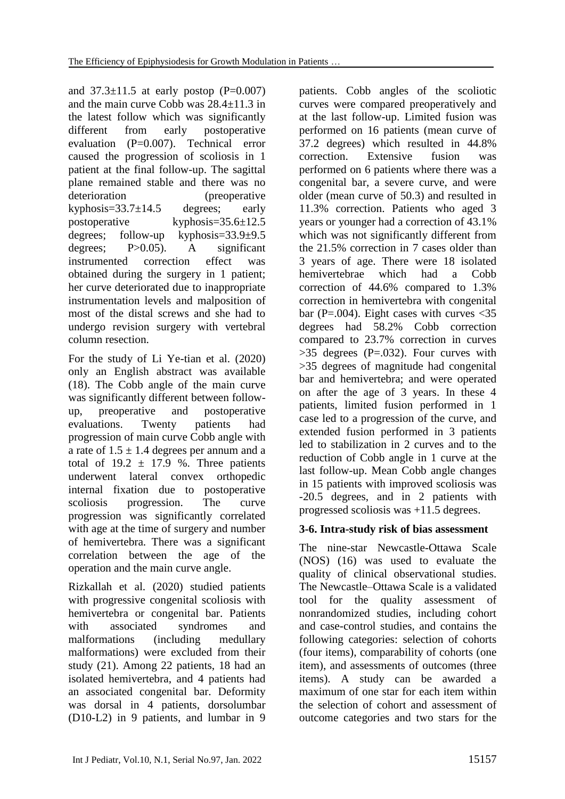and  $37.3\pm11.5$  at early postop (P=0.007) and the main curve Cobb was 28.4±11.3 in the latest follow which was significantly different from early postoperative evaluation (P=0.007). Technical error caused the progression of scoliosis in 1 patient at the final follow-up. The sagittal plane remained stable and there was no deterioration (preoperative kyphosis= $33.7 \pm 14.5$  degrees; early postoperative kyphosis=35.6±12.5 degrees; follow-up kyphosis=33.9±9.5 degrees; P>0.05). A significant instrumented correction effect was obtained during the surgery in 1 patient; her curve deteriorated due to inappropriate instrumentation levels and malposition of most of the distal screws and she had to undergo revision surgery with vertebral column resection.

For the study of Li Ye-tian et al. (2020) only an English abstract was available (18). The Cobb angle of the main curve was significantly different between followup, preoperative and postoperative evaluations. Twenty patients had progression of main curve Cobb angle with a rate of  $1.5 \pm 1.4$  degrees per annum and a total of  $19.2 \pm 17.9$  %. Three patients underwent lateral convex orthopedic internal fixation due to postoperative scoliosis progression. The curve progression was significantly correlated with age at the time of surgery and number of hemivertebra. There was a significant correlation between the age of the operation and the main curve angle.

Rizkallah et al. (2020) studied patients with progressive congenital scoliosis with hemivertebra or congenital bar. Patients with associated syndromes and malformations (including medullary malformations) were excluded from their study (21). Among 22 patients, 18 had an isolated hemivertebra, and 4 patients had an associated congenital bar. Deformity was dorsal in 4 patients, dorsolumbar (D10-L2) in 9 patients, and lumbar in 9

patients. Cobb angles of the scoliotic curves were compared preoperatively and at the last follow-up. Limited fusion was performed on 16 patients (mean curve of 37.2 degrees) which resulted in 44.8% correction. Extensive fusion was performed on 6 patients where there was a congenital bar, a severe curve, and were older (mean curve of 50.3) and resulted in 11.3% correction. Patients who aged 3 years or younger had a correction of 43.1% which was not significantly different from the 21.5% correction in 7 cases older than 3 years of age. There were 18 isolated hemivertebrae which had a Cobb correction of 44.6% compared to 1.3% correction in hemivertebra with congenital bar (P=.004). Eight cases with curves  $\langle 35 \rangle$ degrees had 58.2% Cobb correction compared to 23.7% correction in curves  $>35$  degrees (P=.032). Four curves with >35 degrees of magnitude had congenital bar and hemivertebra; and were operated on after the age of 3 years. In these 4 patients, limited fusion performed in 1 case led to a progression of the curve, and extended fusion performed in 3 patients led to stabilization in 2 curves and to the reduction of Cobb angle in 1 curve at the last follow-up. Mean Cobb angle changes in 15 patients with improved scoliosis was -20.5 degrees, and in 2 patients with progressed scoliosis was +11.5 degrees.

# **3-6. Intra-study risk of bias assessment**

The nine-star Newcastle-Ottawa Scale (NOS) (16) was used to evaluate the quality of clinical observational studies. The Newcastle–Ottawa Scale is a validated tool for the quality assessment of nonrandomized studies, including cohort and case-control studies, and contains the following categories: selection of cohorts (four items), comparability of cohorts (one item), and assessments of outcomes (three items). A study can be awarded a maximum of one star for each item within the selection of cohort and assessment of outcome categories and two stars for the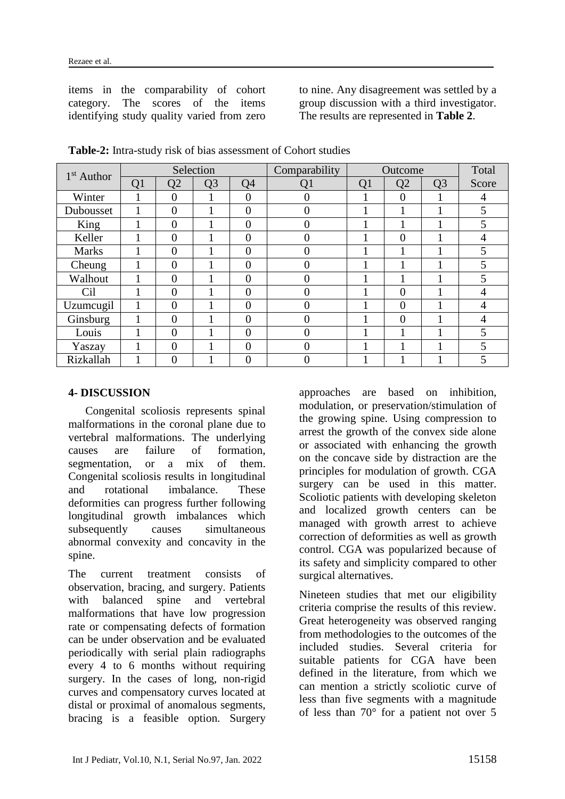items in the comparability of cohort category. The scores of the items identifying study quality varied from zero

to nine. Any disagreement was settled by a group discussion with a third investigator. The results are represented in **Table 2**.

| $1st$ Author |                                              |                | Selection |                | Comparability | Outcome        | Total          |  |   |
|--------------|----------------------------------------------|----------------|-----------|----------------|---------------|----------------|----------------|--|---|
|              | Q <sub>3</sub><br>Q4<br>Q <sub>1</sub><br>Q2 |                | Q1        | Q1             | Q2            | Q <sub>3</sub> | Score          |  |   |
| Winter       |                                              | $\overline{0}$ |           | $\overline{0}$ | 0             |                | $\overline{0}$ |  | 4 |
| Dubousset    | 1                                            | $\overline{0}$ |           | $\overline{0}$ | 0             |                |                |  | 5 |
| King         |                                              | $\overline{0}$ |           | $\overline{0}$ | 0             |                |                |  | 5 |
| Keller       |                                              | $\overline{0}$ |           | $\overline{0}$ |               |                | $\overline{0}$ |  | 4 |
| <b>Marks</b> |                                              | $\theta$       |           | $\overline{0}$ | 0             |                |                |  | 5 |
| Cheung       |                                              | $\theta$       |           | $\overline{0}$ |               |                |                |  | 5 |
| Walhout      |                                              | $\theta$       |           | $\theta$       |               |                |                |  | 5 |
| Cil          |                                              | $\theta$       |           | $\theta$       |               |                | $\Omega$       |  |   |
| Uzumcugil    |                                              | $\theta$       |           | $\theta$       |               |                | $\theta$       |  |   |
| Ginsburg     |                                              | $\theta$       |           | $\overline{0}$ | 0             |                | $\theta$       |  |   |
| Louis        |                                              | $\theta$       |           | $\theta$       | 0             |                |                |  | 5 |
| Yaszay       |                                              | $\overline{0}$ |           | $\overline{0}$ | 0             |                |                |  | 5 |
| Rizkallah    |                                              | $\overline{0}$ |           | $\overline{0}$ |               |                |                |  |   |

**Table-2:** Intra-study risk of bias assessment of Cohort studies

#### **4- DISCUSSION**

Congenital scoliosis represents spinal malformations in the coronal plane due to vertebral malformations. The underlying causes are failure of formation, segmentation, or a mix of them. Congenital scoliosis results in longitudinal and rotational imbalance. These deformities can progress further following longitudinal growth imbalances which subsequently causes simultaneous abnormal convexity and concavity in the spine.

The current treatment consists of observation, bracing, and surgery. Patients with balanced spine and vertebral malformations that have low progression rate or compensating defects of formation can be under observation and be evaluated periodically with serial plain radiographs every 4 to 6 months without requiring surgery. In the cases of long, non-rigid curves and compensatory curves located at distal or proximal of anomalous segments, bracing is a feasible option. Surgery approaches are based on inhibition, modulation, or preservation/stimulation of the growing spine. Using compression to arrest the growth of the convex side alone or associated with enhancing the growth on the concave side by distraction are the principles for modulation of growth. CGA surgery can be used in this matter. Scoliotic patients with developing skeleton and localized growth centers can be managed with growth arrest to achieve correction of deformities as well as growth control. CGA was popularized because of its safety and simplicity compared to other surgical alternatives.

Nineteen studies that met our eligibility criteria comprise the results of this review. Great heterogeneity was observed ranging from methodologies to the outcomes of the included studies. Several criteria for suitable patients for CGA have been defined in the literature, from which we can mention a strictly scoliotic curve of less than five segments with a magnitude of less than 70° for a patient not over 5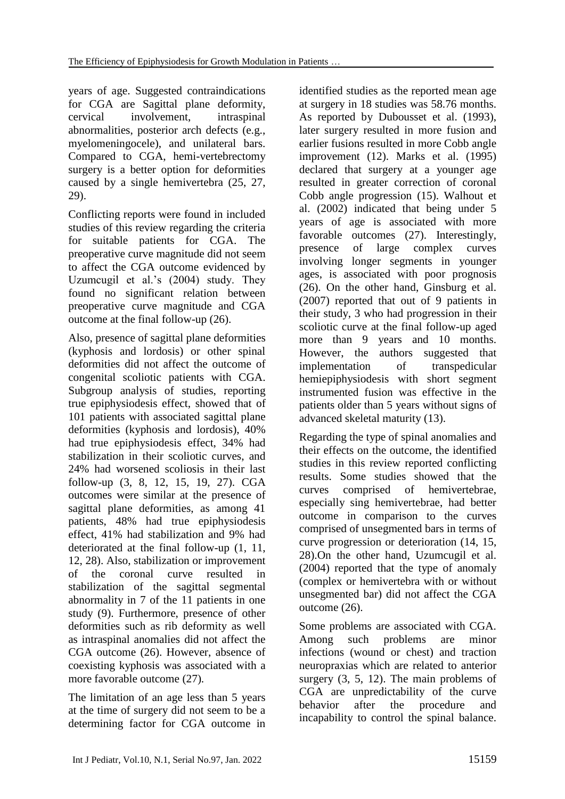years of age. Suggested contraindications for CGA are Sagittal plane deformity, cervical involvement, intraspinal abnormalities, posterior arch defects (e.g., myelomeningocele), and unilateral bars. Compared to CGA, hemi-vertebrectomy surgery is a better option for deformities caused by a single hemivertebra (25, 27, 29).

Conflicting reports were found in included studies of this review regarding the criteria for suitable patients for CGA. The preoperative curve magnitude did not seem to affect the CGA outcome evidenced by Uzumcugil et al.'s (2004) study. They found no significant relation between preoperative curve magnitude and CGA outcome at the final follow-up (26).

Also, presence of sagittal plane deformities (kyphosis and lordosis) or other spinal deformities did not affect the outcome of congenital scoliotic patients with CGA. Subgroup analysis of studies, reporting true epiphysiodesis effect, showed that of 101 patients with associated sagittal plane deformities (kyphosis and lordosis), 40% had true epiphysiodesis effect, 34% had stabilization in their scoliotic curves, and 24% had worsened scoliosis in their last follow-up (3, 8, 12, 15, 19, 27). CGA outcomes were similar at the presence of sagittal plane deformities, as among 41 patients, 48% had true epiphysiodesis effect, 41% had stabilization and 9% had deteriorated at the final follow-up (1, 11, 12, 28). Also, stabilization or improvement of the coronal curve resulted in stabilization of the sagittal segmental abnormality in 7 of the 11 patients in one study (9). Furthermore, presence of other deformities such as rib deformity as well as intraspinal anomalies did not affect the CGA outcome (26). However, absence of coexisting kyphosis was associated with a more favorable outcome (27).

The limitation of an age less than 5 years at the time of surgery did not seem to be a determining factor for CGA outcome in identified studies as the reported mean age at surgery in 18 studies was 58.76 months. As reported by Dubousset et al. (1993), later surgery resulted in more fusion and earlier fusions resulted in more Cobb angle improvement (12). Marks et al. (1995) declared that surgery at a younger age resulted in greater correction of coronal Cobb angle progression (15). Walhout et al. (2002) indicated that being under 5 years of age is associated with more favorable outcomes (27). Interestingly, presence of large complex curves involving longer segments in younger ages, is associated with poor prognosis (26). On the other hand, Ginsburg et al. (2007) reported that out of 9 patients in their study, 3 who had progression in their scoliotic curve at the final follow-up aged more than 9 years and 10 months. However, the authors suggested that implementation of transpedicular hemiepiphysiodesis with short segment instrumented fusion was effective in the patients older than 5 years without signs of advanced skeletal maturity (13).

Regarding the type of spinal anomalies and their effects on the outcome, the identified studies in this review reported conflicting results. Some studies showed that the curves comprised of hemivertebrae, especially sing hemivertebrae, had better outcome in comparison to the curves comprised of unsegmented bars in terms of curve progression or deterioration (14, 15, 28).On the other hand, Uzumcugil et al. (2004) reported that the type of anomaly (complex or hemivertebra with or without unsegmented bar) did not affect the CGA outcome (26).

Some problems are associated with CGA. Among such problems are minor infections (wound or chest) and traction neuropraxias which are related to anterior surgery (3, 5, 12). The main problems of CGA are unpredictability of the curve behavior after the procedure and incapability to control the spinal balance.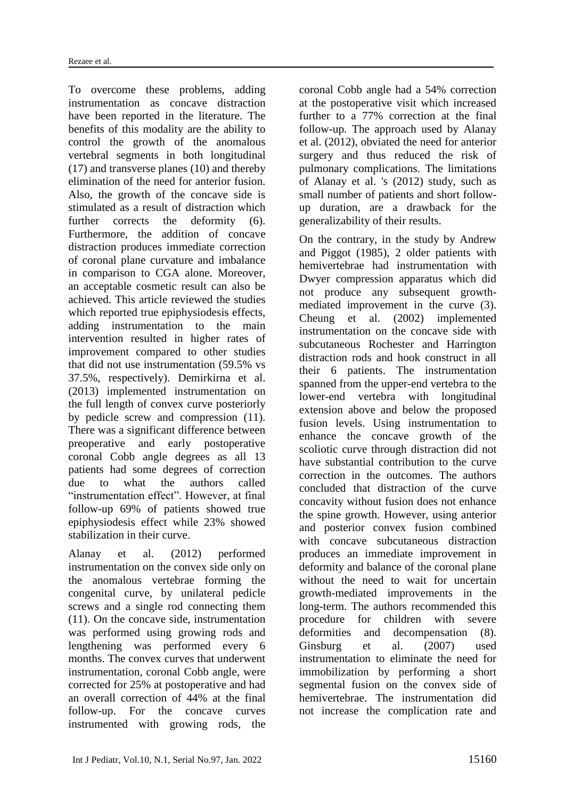To overcome these problems, adding instrumentation as concave distraction have been reported in the literature. The benefits of this modality are the ability to control the growth of the anomalous vertebral segments in both longitudinal (17) and transverse planes (10) and thereby elimination of the need for anterior fusion. Also, the growth of the concave side is stimulated as a result of distraction which further corrects the deformity (6). Furthermore, the addition of concave distraction produces immediate correction of coronal plane curvature and imbalance in comparison to CGA alone. Moreover, an acceptable cosmetic result can also be achieved. This article reviewed the studies which reported true epiphysiodesis effects. adding instrumentation to the main intervention resulted in higher rates of improvement compared to other studies that did not use instrumentation (59.5% vs 37.5%, respectively). Demirkirna et al. (2013) implemented instrumentation on the full length of convex curve posteriorly by pedicle screw and compression (11). There was a significant difference between preoperative and early postoperative coronal Cobb angle degrees as all 13 patients had some degrees of correction due to what the authors called "instrumentation effect". However, at final follow-up 69% of patients showed true epiphysiodesis effect while 23% showed stabilization in their curve.

Alanay et al. (2012) performed instrumentation on the convex side only on the anomalous vertebrae forming the congenital curve, by unilateral pedicle screws and a single rod connecting them (11). On the concave side, instrumentation was performed using growing rods and lengthening was performed every 6 months. The convex curves that underwent instrumentation, coronal Cobb angle, were corrected for 25% at postoperative and had an overall correction of 44% at the final follow-up. For the concave curves instrumented with growing rods, the

coronal Cobb angle had a 54% correction at the postoperative visit which increased further to a 77% correction at the final follow-up. The approach used by Alanay et al. (2012), obviated the need for anterior surgery and thus reduced the risk of pulmonary complications. The limitations of Alanay et al. 's (2012) study, such as small number of patients and short followup duration, are a drawback for the generalizability of their results.

On the contrary, in the study by Andrew and Piggot (1985), 2 older patients with hemivertebrae had instrumentation with Dwyer compression apparatus which did not produce any subsequent growthmediated improvement in the curve (3). Cheung et al. (2002) implemented instrumentation on the concave side with subcutaneous Rochester and Harrington distraction rods and hook construct in all their 6 patients. The instrumentation spanned from the upper-end vertebra to the lower-end vertebra with longitudinal extension above and below the proposed fusion levels. Using instrumentation to enhance the concave growth of the scoliotic curve through distraction did not have substantial contribution to the curve correction in the outcomes. The authors concluded that distraction of the curve concavity without fusion does not enhance the spine growth. However, using anterior and posterior convex fusion combined with concave subcutaneous distraction produces an immediate improvement in deformity and balance of the coronal plane without the need to wait for uncertain growth-mediated improvements in the long-term. The authors recommended this procedure for children with severe deformities and decompensation (8). Ginsburg et al. (2007) used instrumentation to eliminate the need for immobilization by performing a short segmental fusion on the convex side of hemivertebrae. The instrumentation did not increase the complication rate and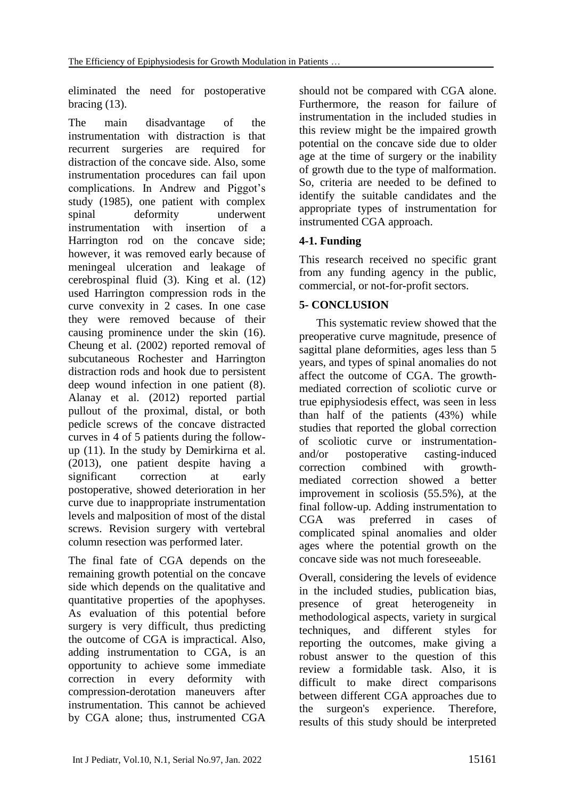eliminated the need for postoperative bracing (13).

The main disadvantage of the instrumentation with distraction is that recurrent surgeries are required for distraction of the concave side. Also, some instrumentation procedures can fail upon complications. In Andrew and Piggot's study (1985), one patient with complex spinal deformity underwent instrumentation with insertion of a Harrington rod on the concave side; however, it was removed early because of meningeal ulceration and leakage of cerebrospinal fluid (3). King et al. (12) used Harrington compression rods in the curve convexity in 2 cases. In one case they were removed because of their causing prominence under the skin (16). Cheung et al. (2002) reported removal of subcutaneous Rochester and Harrington distraction rods and hook due to persistent deep wound infection in one patient (8). Alanay et al. (2012) reported partial pullout of the proximal, distal, or both pedicle screws of the concave distracted curves in 4 of 5 patients during the followup (11). In the study by Demirkirna et al. (2013), one patient despite having a significant correction at early postoperative, showed deterioration in her curve due to inappropriate instrumentation levels and malposition of most of the distal screws. Revision surgery with vertebral column resection was performed later.

The final fate of CGA depends on the remaining growth potential on the concave side which depends on the qualitative and quantitative properties of the apophyses. As evaluation of this potential before surgery is very difficult, thus predicting the outcome of CGA is impractical. Also, adding instrumentation to CGA, is an opportunity to achieve some immediate correction in every deformity with compression-derotation maneuvers after instrumentation. This cannot be achieved by CGA alone; thus, instrumented CGA should not be compared with CGA alone. Furthermore, the reason for failure of instrumentation in the included studies in this review might be the impaired growth potential on the concave side due to older age at the time of surgery or the inability of growth due to the type of malformation. So, criteria are needed to be defined to identify the suitable candidates and the appropriate types of instrumentation for instrumented CGA approach.

# **4-1. Funding**

This research received no specific grant from any funding agency in the public, commercial, or not-for-profit sectors.

# **5- CONCLUSION**

This systematic review showed that the preoperative curve magnitude, presence of sagittal plane deformities, ages less than 5 years, and types of spinal anomalies do not affect the outcome of CGA. The growthmediated correction of scoliotic curve or true epiphysiodesis effect, was seen in less than half of the patients (43%) while studies that reported the global correction of scoliotic curve or instrumentationand/or postoperative casting-induced correction combined with growthmediated correction showed a better improvement in scoliosis (55.5%), at the final follow-up. Adding instrumentation to CGA was preferred in cases of complicated spinal anomalies and older ages where the potential growth on the concave side was not much foreseeable.

Overall, considering the levels of evidence in the included studies, publication bias, presence of great heterogeneity in methodological aspects, variety in surgical techniques, and different styles for reporting the outcomes, make giving a robust answer to the question of this review a formidable task. Also, it is difficult to make direct comparisons between different CGA approaches due to the surgeon's experience. Therefore, results of this study should be interpreted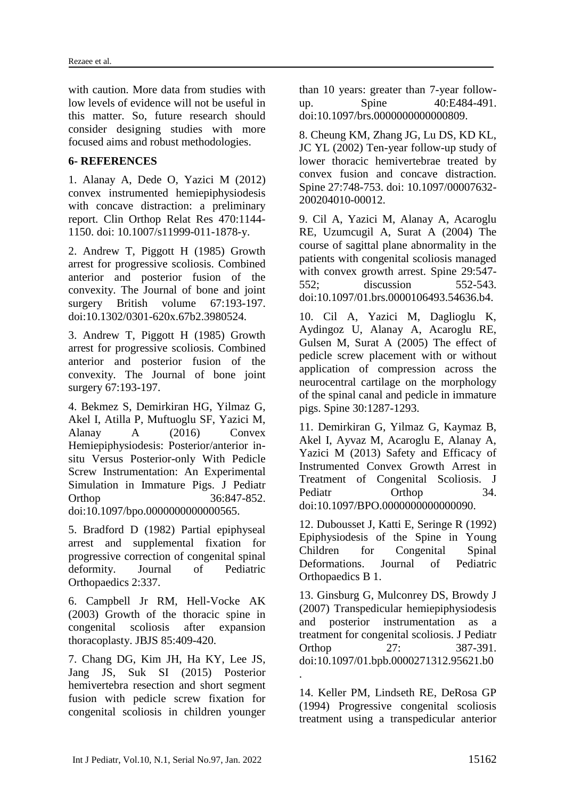with caution. More data from studies with low levels of evidence will not be useful in this matter. So, future research should consider designing studies with more focused aims and robust methodologies.

#### **6- REFERENCES**

1. Alanay A, Dede O, Yazici M (2012) convex instrumented hemiepiphysiodesis with concave distraction: a preliminary report. Clin Orthop Relat Res 470:1144- 1150. doi: 10.1007/s11999-011-1878-y.

2. Andrew T, Piggott H (1985) Growth arrest for progressive scoliosis. Combined anterior and posterior fusion of the convexity. The Journal of bone and joint surgery British volume 67:193-197. doi:10.1302/0301-620x.67b2.3980524.

3. Andrew T, Piggott H (1985) Growth arrest for progressive scoliosis. Combined anterior and posterior fusion of the convexity. The Journal of bone joint surgery 67:193-197.

4. Bekmez S, Demirkiran HG, Yilmaz G, Akel I, Atilla P, Muftuoglu SF, Yazici M, Alanay A (2016) Convex Hemiepiphysiodesis: Posterior/anterior insitu Versus Posterior-only With Pedicle Screw Instrumentation: An Experimental Simulation in Immature Pigs. J Pediatr Orthop 36:847-852. doi:10.1097/bpo.0000000000000565.

5. Bradford D (1982) Partial epiphyseal arrest and supplemental fixation for progressive correction of congenital spinal deformity. Journal of Pediatric Orthopaedics 2:337.

6. Campbell Jr RM, Hell-Vocke AK (2003) Growth of the thoracic spine in congenital scoliosis after expansion thoracoplasty. JBJS 85:409-420.

7. Chang DG, Kim JH, Ha KY, Lee JS, Jang JS, Suk SI (2015) Posterior hemivertebra resection and short segment fusion with pedicle screw fixation for congenital scoliosis in children younger than 10 years: greater than 7-year followup. Spine 40:E484-491. doi:10.1097/brs.0000000000000809.

8. Cheung KM, Zhang JG, Lu DS, KD KL, JC YL (2002) Ten-year follow-up study of lower thoracic hemivertebrae treated by convex fusion and concave distraction. Spine 27:748-753. doi: 10.1097/00007632- 200204010-00012.

9. Cil A, Yazici M, Alanay A, Acaroglu RE, Uzumcugil A, Surat A (2004) The course of sagittal plane abnormality in the patients with congenital scoliosis managed with convex growth arrest. Spine 29:547- 552; discussion 552-543. doi:10.1097/01.brs.0000106493.54636.b4.

10. Cil A, Yazici M, Daglioglu K, Aydingoz U, Alanay A, Acaroglu RE, Gulsen M, Surat A (2005) The effect of pedicle screw placement with or without application of compression across the neurocentral cartilage on the morphology of the spinal canal and pedicle in immature pigs. Spine 30:1287-1293.

11. Demirkiran G, Yilmaz G, Kaymaz B, Akel I, Ayvaz M, Acaroglu E, Alanay A, Yazici M (2013) Safety and Efficacy of Instrumented Convex Growth Arrest in Treatment of Congenital Scoliosis. J Pediatr Orthop 34. doi:10.1097/BPO.0000000000000090.

12. Dubousset J, Katti E, Seringe R (1992) Epiphysiodesis of the Spine in Young Children for Congenital Spinal Deformations. Journal of Pediatric Orthopaedics B 1.

13. Ginsburg G, Mulconrey DS, Browdy J (2007) Transpedicular hemiepiphysiodesis and posterior instrumentation as a treatment for congenital scoliosis. J Pediatr Orthop 27: 387-391. doi:10.1097/01.bpb.0000271312.95621.b0 .

14. Keller PM, Lindseth RE, DeRosa GP (1994) Progressive congenital scoliosis treatment using a transpedicular anterior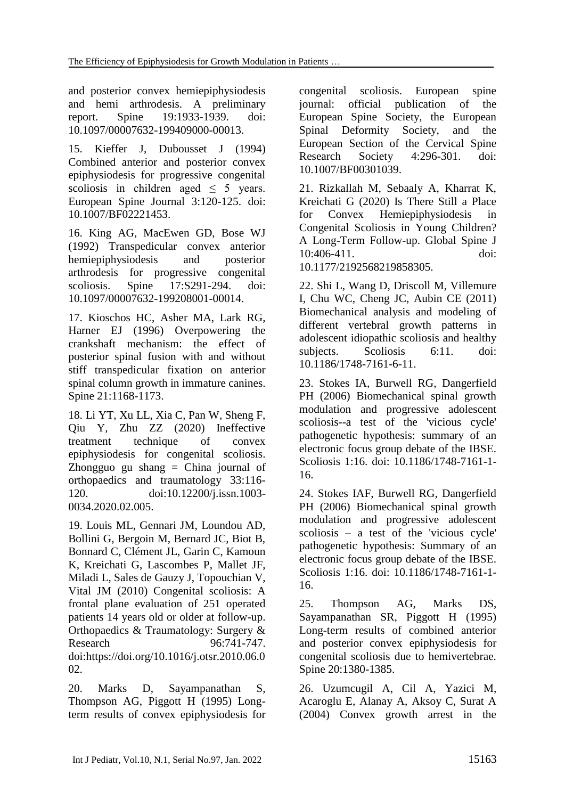and posterior convex hemiepiphysiodesis and hemi arthrodesis. A preliminary report. Spine 19:1933-1939. doi: 10.1097/00007632-199409000-00013.

15. Kieffer J, Dubousset J (1994) Combined anterior and posterior convex epiphysiodesis for progressive congenital scoliosis in children aged < 5 years. European Spine Journal 3:120-125. doi: 10.1007/BF02221453.

16. King AG, MacEwen GD, Bose WJ (1992) Transpedicular convex anterior hemiepiphysiodesis and posterior arthrodesis for progressive congenital scoliosis. Spine 17:S291-294. doi: 10.1097/00007632-199208001-00014.

17. Kioschos HC, Asher MA, Lark RG, Harner EJ (1996) Overpowering the crankshaft mechanism: the effect of posterior spinal fusion with and without stiff transpedicular fixation on anterior spinal column growth in immature canines. Spine 21:1168-1173.

18. Li YT, Xu LL, Xia C, Pan W, Sheng F, Qiu Y, Zhu ZZ (2020) Ineffective treatment technique of convex epiphysiodesis for congenital scoliosis. Zhongguo gu shang = China journal of orthopaedics and traumatology 33:116- 120. doi:10.12200/j.issn.1003- 0034.2020.02.005.

19. Louis ML, Gennari JM, Loundou AD, Bollini G, Bergoin M, Bernard JC, Biot B, Bonnard C, Clément JL, Garin C, Kamoun K, Kreichati G, Lascombes P, Mallet JF, Miladi L, Sales de Gauzy J, Topouchian V, Vital JM (2010) Congenital scoliosis: A frontal plane evaluation of 251 operated patients 14 years old or older at follow-up. Orthopaedics & Traumatology: Surgery & Research 96:741-747. doi[:https://doi.org/10.1016/j.otsr.2010.06.0](https://doi.org/10.1016/j.otsr.2010.06.002) [02.](https://doi.org/10.1016/j.otsr.2010.06.002)

20. Marks D, Sayampanathan S, Thompson AG, Piggott H (1995) Longterm results of convex epiphysiodesis for

congenital scoliosis. European spine journal: official publication of the European Spine Society, the European Spinal Deformity Society, and the European Section of the Cervical Spine Research Society 4:296-301. doi: 10.1007/BF00301039.

21. Rizkallah M, Sebaaly A, Kharrat K, Kreichati G (2020) Is There Still a Place for Convex Hemiepiphysiodesis in Congenital Scoliosis in Young Children? A Long-Term Follow-up. Global Spine J 10:406-411. doi: 10.1177/2192568219858305.

22. Shi L, Wang D, Driscoll M, Villemure I, Chu WC, Cheng JC, Aubin CE (2011) Biomechanical analysis and modeling of different vertebral growth patterns in adolescent idiopathic scoliosis and healthy subjects. Scoliosis 6:11. doi: 10.1186/1748-7161-6-11.

23. Stokes IA, Burwell RG, Dangerfield PH (2006) Biomechanical spinal growth modulation and progressive adolescent scoliosis--a test of the 'vicious cycle' pathogenetic hypothesis: summary of an electronic focus group debate of the IBSE. Scoliosis 1:16. doi: 10.1186/1748-7161-1- 16.

24. Stokes IAF, Burwell RG, Dangerfield PH (2006) Biomechanical spinal growth modulation and progressive adolescent scoliosis – a test of the 'vicious cycle' pathogenetic hypothesis: Summary of an electronic focus group debate of the IBSE. Scoliosis 1:16. doi: 10.1186/1748-7161-1- 16.

25. Thompson AG, Marks DS, Sayampanathan SR, Piggott H (1995) Long-term results of combined anterior and posterior convex epiphysiodesis for congenital scoliosis due to hemivertebrae. Spine 20:1380-1385.

26. Uzumcugil A, Cil A, Yazici M, Acaroglu E, Alanay A, Aksoy C, Surat A (2004) Convex growth arrest in the